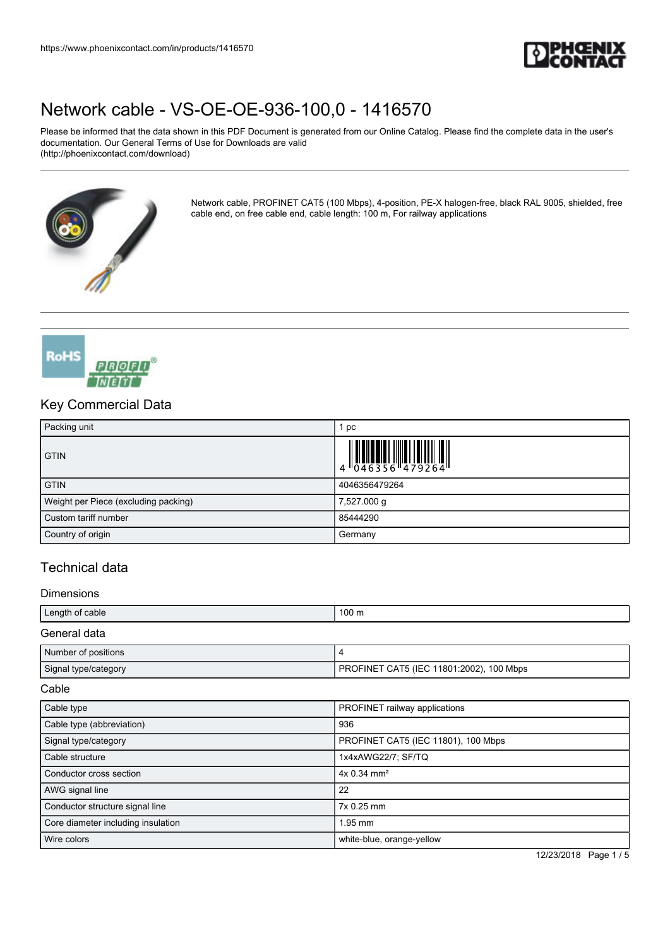

Please be informed that the data shown in this PDF Document is generated from our Online Catalog. Please find the complete data in the user's documentation. Our General Terms of Use for Downloads are valid (http://phoenixcontact.com/download)



Network cable, PROFINET CAT5 (100 Mbps), 4-position, PE-X halogen-free, black RAL 9005, shielded, free cable end, on free cable end, cable length: 100 m, For railway applications



## Key Commercial Data

| Packing unit                         | pc                                                                        |
|--------------------------------------|---------------------------------------------------------------------------|
| <b>GTIN</b>                          | $\begin{array}{c} 1 & 0 & 0 & 0 \\ 0 & 0 & 4 & 6 & 3 & 5 & 6 \end{array}$ |
| <b>GTIN</b>                          | 4046356479264                                                             |
| Weight per Piece (excluding packing) | 7,527.000 g                                                               |
| Custom tariff number                 | 85444290                                                                  |
| Country of origin                    | Germany                                                                   |

## Technical data

#### **Dimensions**

| Length of cable      | $100 \text{ m}$                          |
|----------------------|------------------------------------------|
| General data         |                                          |
| Number of positions  |                                          |
| Signal type/category | PROFINET CAT5 (IEC 11801:2002), 100 Mbps |

#### Cable

| Cable type                         | PROFINET railway applications       |
|------------------------------------|-------------------------------------|
| Cable type (abbreviation)          | 936                                 |
| Signal type/category               | PROFINET CAT5 (IEC 11801), 100 Mbps |
| Cable structure                    | 1x4xAWG22/7; SF/TQ                  |
| Conductor cross section            | $4x 0.34$ mm <sup>2</sup>           |
| AWG signal line                    | 22                                  |
| Conductor structure signal line    | 7x 0.25 mm                          |
| Core diameter including insulation | 1.95 mm                             |
| Wire colors                        | white-blue, orange-yellow           |

12/23/2018 Page 1 / 5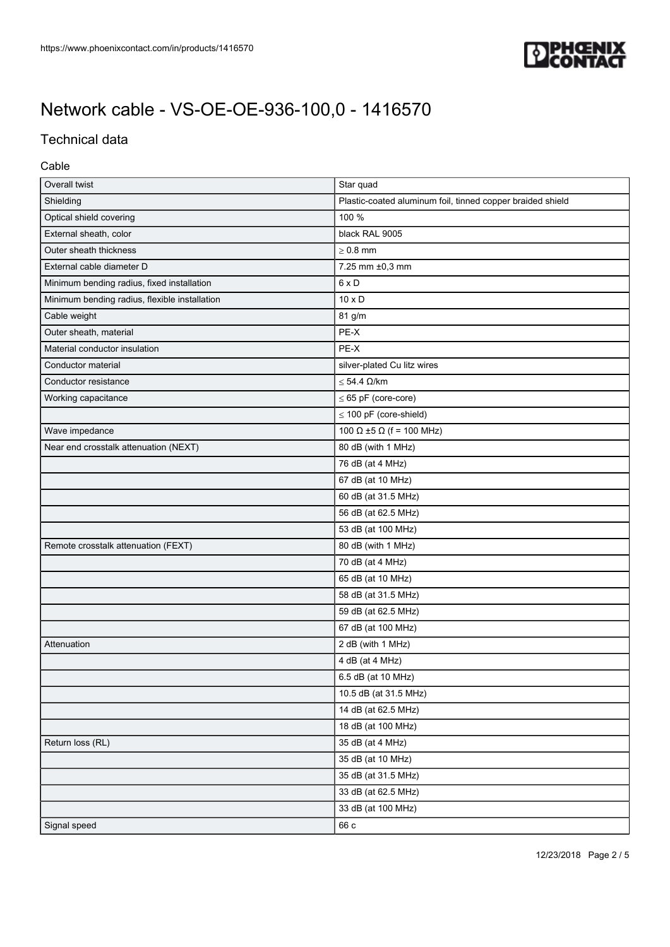

## Technical data

### Cable

| Overall twist                                 | Star quad                                                  |
|-----------------------------------------------|------------------------------------------------------------|
| Shielding                                     | Plastic-coated aluminum foil, tinned copper braided shield |
| Optical shield covering                       | 100 %                                                      |
| External sheath, color                        | black RAL 9005                                             |
| Outer sheath thickness                        | $\geq 0.8$ mm                                              |
| External cable diameter D                     | 7.25 mm ±0,3 mm                                            |
| Minimum bending radius, fixed installation    | $6 \times D$                                               |
| Minimum bending radius, flexible installation | $10 \times D$                                              |
| Cable weight                                  | 81 g/m                                                     |
| Outer sheath, material                        | PE-X                                                       |
| Material conductor insulation                 | PE-X                                                       |
| Conductor material                            | silver-plated Cu litz wires                                |
| Conductor resistance                          | $\leq$ 54.4 $\Omega$ /km                                   |
| Working capacitance                           | $\leq$ 65 pF (core-core)                                   |
|                                               | $\leq$ 100 pF (core-shield)                                |
| Wave impedance                                | 100 Ω ±5 Ω (f = 100 MHz)                                   |
| Near end crosstalk attenuation (NEXT)         | 80 dB (with 1 MHz)                                         |
|                                               | 76 dB (at 4 MHz)                                           |
|                                               | 67 dB (at 10 MHz)                                          |
|                                               | 60 dB (at 31.5 MHz)                                        |
|                                               | 56 dB (at 62.5 MHz)                                        |
|                                               | 53 dB (at 100 MHz)                                         |
| Remote crosstalk attenuation (FEXT)           | 80 dB (with 1 MHz)                                         |
|                                               | 70 dB (at 4 MHz)                                           |
|                                               | 65 dB (at 10 MHz)                                          |
|                                               | 58 dB (at 31.5 MHz)                                        |
|                                               | 59 dB (at 62.5 MHz)                                        |
|                                               | 67 dB (at 100 MHz)                                         |
| Attenuation                                   | 2 dB (with 1 MHz)                                          |
|                                               | 4 dB (at 4 MHz)                                            |
|                                               | 6.5 dB (at 10 MHz)                                         |
|                                               | 10.5 dB (at 31.5 MHz)                                      |
|                                               | 14 dB (at 62.5 MHz)                                        |
|                                               | 18 dB (at 100 MHz)                                         |
| Return loss (RL)                              | 35 dB (at 4 MHz)                                           |
|                                               | 35 dB (at 10 MHz)                                          |
|                                               | 35 dB (at 31.5 MHz)                                        |
|                                               | 33 dB (at 62.5 MHz)                                        |
|                                               | 33 dB (at 100 MHz)                                         |
| Signal speed                                  | 66 c                                                       |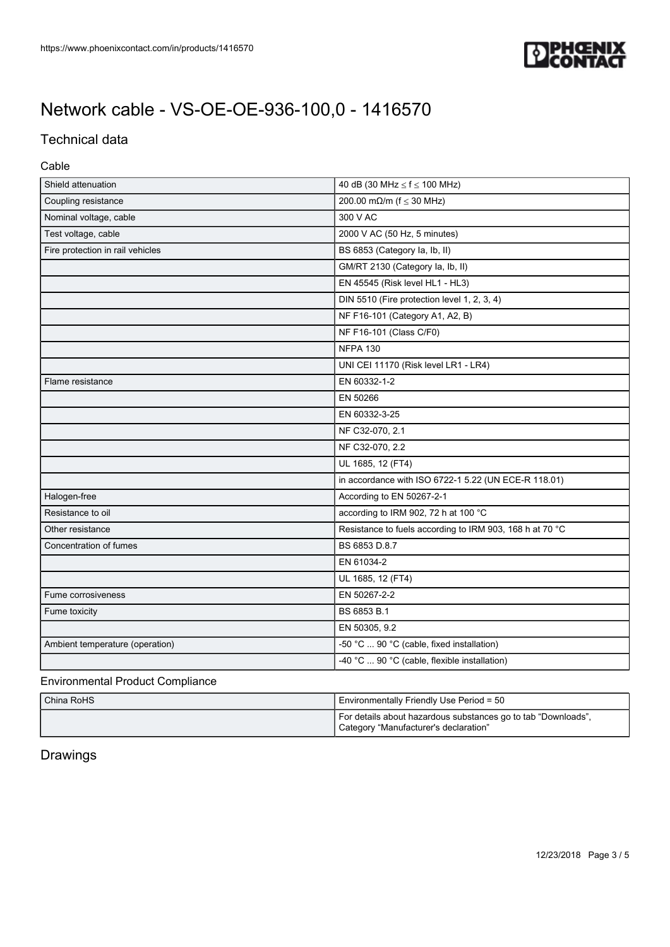

## Technical data

### Cable

| Shield attenuation               | 40 dB (30 MHz $\le$ f $\le$ 100 MHz)                     |
|----------------------------------|----------------------------------------------------------|
| Coupling resistance              | 200.00 m $\Omega$ /m (f $\leq$ 30 MHz)                   |
| Nominal voltage, cable           | 300 V AC                                                 |
| Test voltage, cable              | 2000 V AC (50 Hz, 5 minutes)                             |
| Fire protection in rail vehicles | BS 6853 (Category la, lb, ll)                            |
|                                  | GM/RT 2130 (Category la, lb, ll)                         |
|                                  | EN 45545 (Risk level HL1 - HL3)                          |
|                                  | DIN 5510 (Fire protection level 1, 2, 3, 4)              |
|                                  | NF F16-101 (Category A1, A2, B)                          |
|                                  | NF F16-101 (Class C/F0)                                  |
|                                  | <b>NFPA 130</b>                                          |
|                                  | UNI CEI 11170 (Risk level LR1 - LR4)                     |
| Flame resistance                 | EN 60332-1-2                                             |
|                                  | EN 50266                                                 |
|                                  | EN 60332-3-25                                            |
|                                  | NF C32-070, 2.1                                          |
|                                  | NF C32-070, 2.2                                          |
|                                  | UL 1685, 12 (FT4)                                        |
|                                  | in accordance with ISO 6722-1 5.22 (UN ECE-R 118.01)     |
| Halogen-free                     | According to EN 50267-2-1                                |
| Resistance to oil                | according to IRM 902, 72 h at 100 °C                     |
| Other resistance                 | Resistance to fuels according to IRM 903, 168 h at 70 °C |
| Concentration of fumes           | BS 6853 D.8.7                                            |
|                                  | EN 61034-2                                               |
|                                  | UL 1685, 12 (FT4)                                        |
| Fume corrosiveness               | EN 50267-2-2                                             |
| Fume toxicity                    | BS 6853 B.1                                              |
|                                  | EN 50305, 9.2                                            |
| Ambient temperature (operation)  | -50 °C  90 °C (cable, fixed installation)                |
|                                  | -40 °C  90 °C (cable, flexible installation)             |

#### Environmental Product Compliance

| China RoHS | Environmentally Friendly Use Period = 50                                                               |
|------------|--------------------------------------------------------------------------------------------------------|
|            | For details about hazardous substances go to tab "Downloads",<br>Category "Manufacturer's declaration" |

## Drawings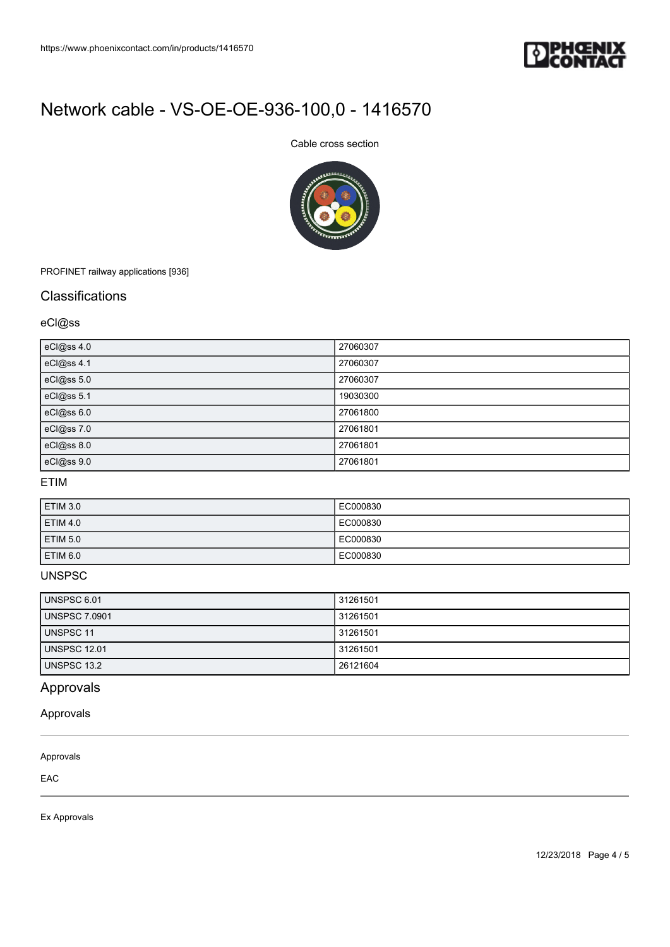

### Cable cross section



PROFINET railway applications [936]

### **Classifications**

### eCl@ss

| eCl@ss 4.0 | 27060307 |
|------------|----------|
| eCl@ss 4.1 | 27060307 |
| eCl@ss 5.0 | 27060307 |
| eCl@ss 5.1 | 19030300 |
| eCl@ss 6.0 | 27061800 |
| eCl@ss 7.0 | 27061801 |
| eCl@ss 8.0 | 27061801 |
| eCl@ss 9.0 | 27061801 |

### ETIM

| <b>ETIM 3.0</b> | EC000830 |
|-----------------|----------|
| <b>ETIM 4.0</b> | EC000830 |
| <b>ETIM 5.0</b> | EC000830 |
| ETIM 6.0        | EC000830 |

### UNSPSC

| <b>UNSPSC 6.01</b>   | 31261501 |
|----------------------|----------|
| <b>UNSPSC 7.0901</b> | 31261501 |
| UNSPSC 11            | 31261501 |
| <b>UNSPSC 12.01</b>  | 31261501 |
| UNSPSC 13.2          | 26121604 |

## Approvals

Approvals

#### Approvals

EAC

Ex Approvals